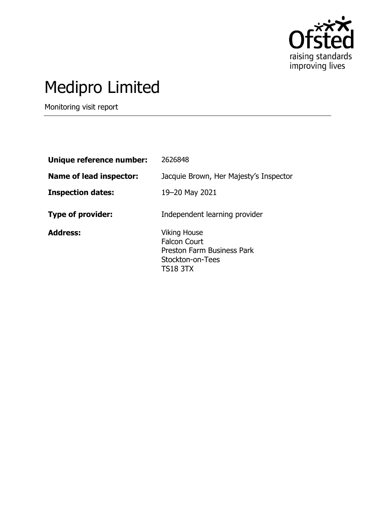

# Medipro Limited

Monitoring visit report

| Unique reference number:       | 2626848                                                                                                                |
|--------------------------------|------------------------------------------------------------------------------------------------------------------------|
| <b>Name of lead inspector:</b> | Jacquie Brown, Her Majesty's Inspector                                                                                 |
| <b>Inspection dates:</b>       | 19–20 May 2021                                                                                                         |
| <b>Type of provider:</b>       | Independent learning provider                                                                                          |
| <b>Address:</b>                | <b>Viking House</b><br><b>Falcon Court</b><br><b>Preston Farm Business Park</b><br>Stockton-on-Tees<br><b>TS18 3TX</b> |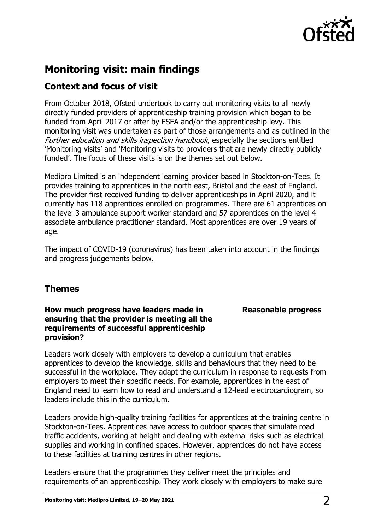

## **Monitoring visit: main findings**

## **Context and focus of visit**

From October 2018, Ofsted undertook to carry out monitoring visits to all newly directly funded providers of apprenticeship training provision which began to be funded from April 2017 or after by ESFA and/or the apprenticeship levy. This monitoring visit was undertaken as part of those arrangements and as outlined in the Further education and skills inspection handbook, especially the sections entitled 'Monitoring visits' and 'Monitoring visits to providers that are newly directly publicly funded'. The focus of these visits is on the themes set out below.

Medipro Limited is an independent learning provider based in Stockton-on-Tees. It provides training to apprentices in the north east, Bristol and the east of England. The provider first received funding to deliver apprenticeships in April 2020, and it currently has 118 apprentices enrolled on programmes. There are 61 apprentices on the level 3 ambulance support worker standard and 57 apprentices on the level 4 associate ambulance practitioner standard. Most apprentices are over 19 years of age.

The impact of COVID-19 (coronavirus) has been taken into account in the findings and progress judgements below.

### **Themes**

#### **How much progress have leaders made in ensuring that the provider is meeting all the requirements of successful apprenticeship provision?**

**Reasonable progress**

Leaders work closely with employers to develop a curriculum that enables apprentices to develop the knowledge, skills and behaviours that they need to be successful in the workplace. They adapt the curriculum in response to requests from employers to meet their specific needs. For example, apprentices in the east of England need to learn how to read and understand a 12-lead electrocardiogram, so leaders include this in the curriculum.

Leaders provide high-quality training facilities for apprentices at the training centre in Stockton-on-Tees. Apprentices have access to outdoor spaces that simulate road traffic accidents, working at height and dealing with external risks such as electrical supplies and working in confined spaces. However, apprentices do not have access to these facilities at training centres in other regions.

Leaders ensure that the programmes they deliver meet the principles and requirements of an apprenticeship. They work closely with employers to make sure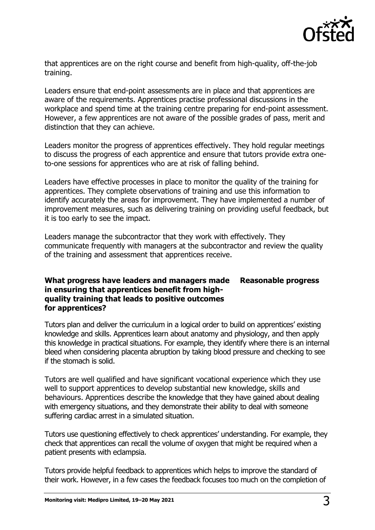

that apprentices are on the right course and benefit from high-quality, off-the-job training.

Leaders ensure that end-point assessments are in place and that apprentices are aware of the requirements. Apprentices practise professional discussions in the workplace and spend time at the training centre preparing for end-point assessment. However, a few apprentices are not aware of the possible grades of pass, merit and distinction that they can achieve.

Leaders monitor the progress of apprentices effectively. They hold regular meetings to discuss the progress of each apprentice and ensure that tutors provide extra oneto-one sessions for apprentices who are at risk of falling behind.

Leaders have effective processes in place to monitor the quality of the training for apprentices. They complete observations of training and use this information to identify accurately the areas for improvement. They have implemented a number of improvement measures, such as delivering training on providing useful feedback, but it is too early to see the impact.

Leaders manage the subcontractor that they work with effectively. They communicate frequently with managers at the subcontractor and review the quality of the training and assessment that apprentices receive.

#### **What progress have leaders and managers made in ensuring that apprentices benefit from highquality training that leads to positive outcomes for apprentices? Reasonable progress**

Tutors plan and deliver the curriculum in a logical order to build on apprentices' existing knowledge and skills. Apprentices learn about anatomy and physiology, and then apply this knowledge in practical situations. For example, they identify where there is an internal bleed when considering placenta abruption by taking blood pressure and checking to see if the stomach is solid.

Tutors are well qualified and have significant vocational experience which they use well to support apprentices to develop substantial new knowledge, skills and behaviours. Apprentices describe the knowledge that they have gained about dealing with emergency situations, and they demonstrate their ability to deal with someone suffering cardiac arrest in a simulated situation.

Tutors use questioning effectively to check apprentices' understanding. For example, they check that apprentices can recall the volume of oxygen that might be required when a patient presents with eclampsia.

Tutors provide helpful feedback to apprentices which helps to improve the standard of their work. However, in a few cases the feedback focuses too much on the completion of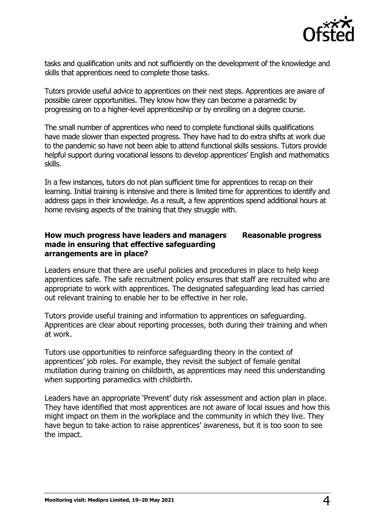

tasks and qualification units and not sufficiently on the development of the knowledge and skills that apprentices need to complete those tasks.

Tutors provide useful advice to apprentices on their next steps. Apprentices are aware of possible career opportunities. They know how they can become a paramedic by progressing on to a higher-level apprenticeship or by enrolling on a degree course.

The small number of apprentices who need to complete functional skills qualifications have made slower than expected progress. They have had to do extra shifts at work due to the pandemic so have not been able to attend functional skills sessions. Tutors provide helpful support during vocational lessons to develop apprentices' English and mathematics skills.

In a few instances, tutors do not plan sufficient time for apprentices to recap on their learning. Initial training is intensive and there is limited time for apprentices to identify and address gaps in their knowledge. As a result, a few apprentices spend additional hours at home revising aspects of the training that they struggle with.

#### **How much progress have leaders and managers made in ensuring that effective safeguarding arrangements are in place? Reasonable progress**

Leaders ensure that there are useful policies and procedures in place to help keep apprentices safe. The safe recruitment policy ensures that staff are recruited who are appropriate to work with apprentices. The designated safeguarding lead has carried out relevant training to enable her to be effective in her role.

Tutors provide useful training and information to apprentices on safeguarding. Apprentices are clear about reporting processes, both during their training and when at work.

Tutors use opportunities to reinforce safeguarding theory in the context of apprentices' job roles. For example, they revisit the subject of female genital mutilation during training on childbirth, as apprentices may need this understanding when supporting paramedics with childbirth.

Leaders have an appropriate 'Prevent' duty risk assessment and action plan in place. They have identified that most apprentices are not aware of local issues and how this might impact on them in the workplace and the community in which they live. They have begun to take action to raise apprentices' awareness, but it is too soon to see the impact.